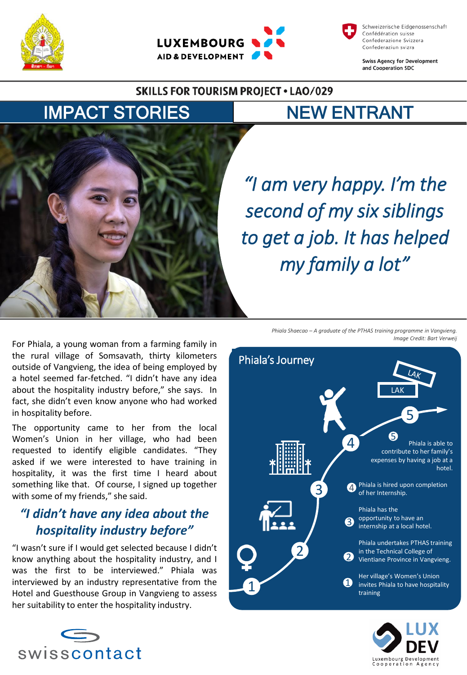





**Swiss Agency for Development** and Cooperation SDC

#### **SKILLS FOR TOURISM PROJECT . LAO/029**

# IMPACT STORIES NEW ENTRANT



*"I am very happy. I'm the second of my six siblings to get a job. It has helped my family a lot"*

For Phiala, a young woman from a farming family in the rural village of Somsavath, thirty kilometers outside of Vangvieng, the idea of being employed by a hotel seemed far-fetched. "I didn't have any idea about the hospitality industry before," she says. In fact, she didn't even know anyone who had worked in hospitality before.

The opportunity came to her from the local Women's Union in her village, who had been requested to identify eligible candidates. "They asked if we were interested to have training in hospitality, it was the first time I heard about something like that. Of course, I signed up together with some of my friends," she said.

## *"I didn't have any idea about the hospitality industry before"*

"I wasn't sure if I would get selected because I didn't know anything about the hospitality industry, and I was the first to be interviewed." Phiala was interviewed by an industry representative from the Hotel and Guesthouse Group in Vangvieng to assess her suitability to enter the hospitality industry.



*Phiala Shaecao – A graduate of the PTHAS training programme in Vangvieng. Image Credit: Bart Verweij*